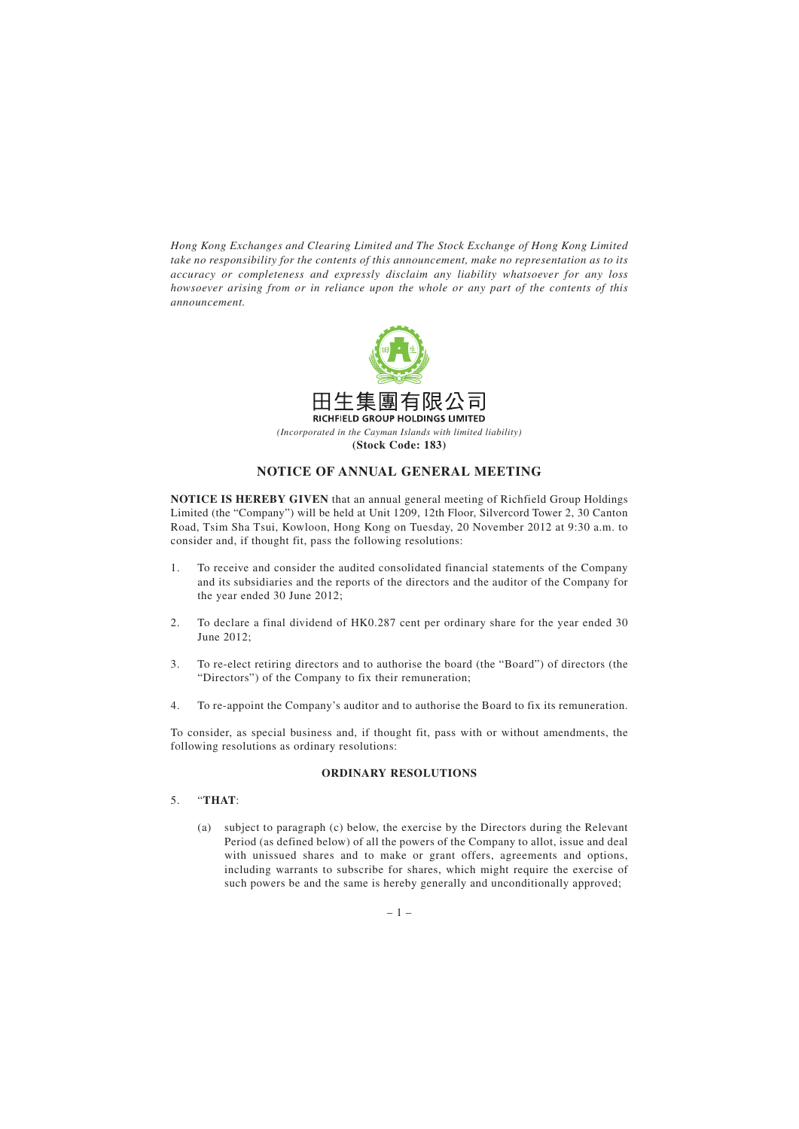*Hong Kong Exchanges and Clearing Limited and The Stock Exchange of Hong Kong Limited take no responsibility for the contents of this announcement, make no representation as to its accuracy or completeness and expressly disclaim any liability whatsoever for any loss howsoever arising from or in reliance upon the whole or any part of the contents of this announcement.*



**(Stock Code: 183)**

# **NOTICE OF ANNUAL GENERAL MEETING**

**NOTICE IS HEREBY GIVEN** that an annual general meeting of Richfield Group Holdings Limited (the "Company") will be held at Unit 1209, 12th Floor, Silvercord Tower 2, 30 Canton Road, Tsim Sha Tsui, Kowloon, Hong Kong on Tuesday, 20 November 2012 at 9:30 a.m. to consider and, if thought fit, pass the following resolutions:

- 1. To receive and consider the audited consolidated financial statements of the Company and its subsidiaries and the reports of the directors and the auditor of the Company for the year ended 30 June 2012;
- 2. To declare a final dividend of HK0.287 cent per ordinary share for the year ended 30 June 2012;
- 3. To re-elect retiring directors and to authorise the board (the "Board") of directors (the "Directors") of the Company to fix their remuneration;
- 4. To re-appoint the Company's auditor and to authorise the Board to fix its remuneration.

To consider, as special business and, if thought fit, pass with or without amendments, the following resolutions as ordinary resolutions:

## **ORDINARY RESOLUTIONS**

# 5. "**THAT**:

(a) subject to paragraph (c) below, the exercise by the Directors during the Relevant Period (as defined below) of all the powers of the Company to allot, issue and deal with unissued shares and to make or grant offers, agreements and options, including warrants to subscribe for shares, which might require the exercise of such powers be and the same is hereby generally and unconditionally approved;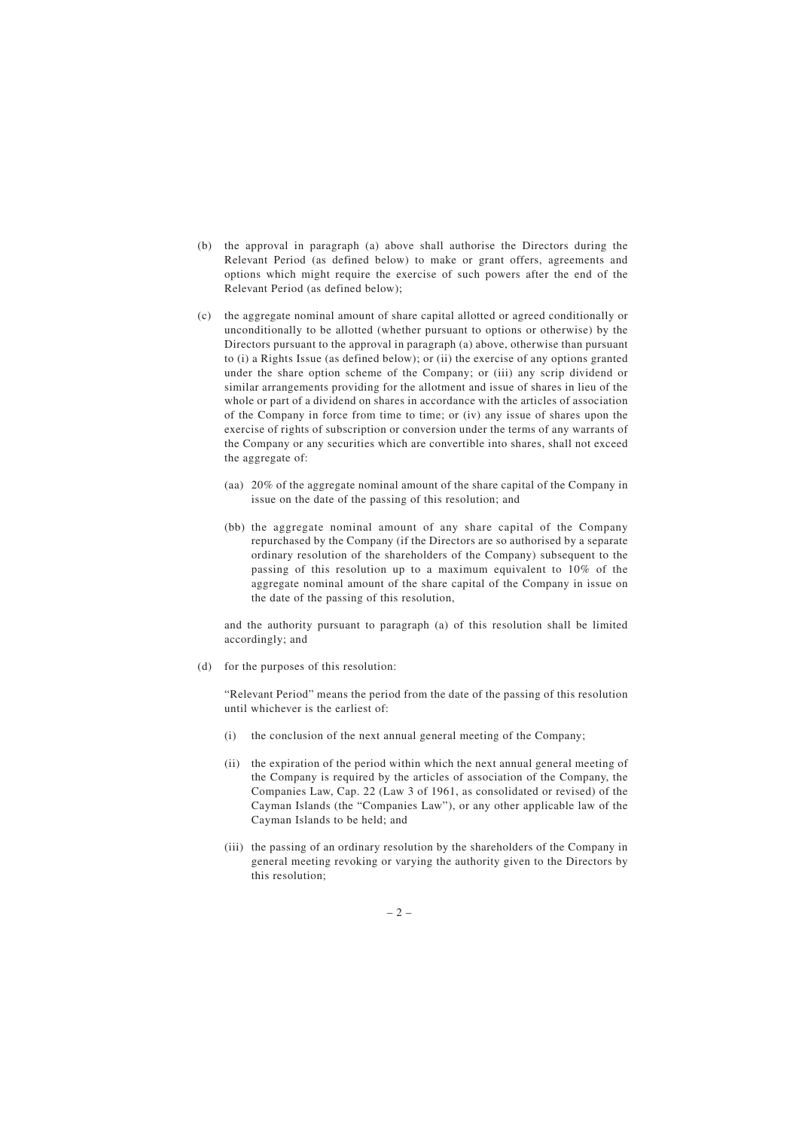- (b) the approval in paragraph (a) above shall authorise the Directors during the Relevant Period (as defined below) to make or grant offers, agreements and options which might require the exercise of such powers after the end of the Relevant Period (as defined below);
- (c) the aggregate nominal amount of share capital allotted or agreed conditionally or unconditionally to be allotted (whether pursuant to options or otherwise) by the Directors pursuant to the approval in paragraph (a) above, otherwise than pursuant to (i) a Rights Issue (as defined below); or (ii) the exercise of any options granted under the share option scheme of the Company; or (iii) any scrip dividend or similar arrangements providing for the allotment and issue of shares in lieu of the whole or part of a dividend on shares in accordance with the articles of association of the Company in force from time to time; or (iv) any issue of shares upon the exercise of rights of subscription or conversion under the terms of any warrants of the Company or any securities which are convertible into shares, shall not exceed the aggregate of:
	- (aa) 20% of the aggregate nominal amount of the share capital of the Company in issue on the date of the passing of this resolution; and
	- (bb) the aggregate nominal amount of any share capital of the Company repurchased by the Company (if the Directors are so authorised by a separate ordinary resolution of the shareholders of the Company) subsequent to the passing of this resolution up to a maximum equivalent to 10% of the aggregate nominal amount of the share capital of the Company in issue on the date of the passing of this resolution,

and the authority pursuant to paragraph (a) of this resolution shall be limited accordingly; and

(d) for the purposes of this resolution:

"Relevant Period" means the period from the date of the passing of this resolution until whichever is the earliest of:

- (i) the conclusion of the next annual general meeting of the Company;
- (ii) the expiration of the period within which the next annual general meeting of the Company is required by the articles of association of the Company, the Companies Law, Cap. 22 (Law 3 of 1961, as consolidated or revised) of the Cayman Islands (the "Companies Law"), or any other applicable law of the Cayman Islands to be held; and
- (iii) the passing of an ordinary resolution by the shareholders of the Company in general meeting revoking or varying the authority given to the Directors by this resolution;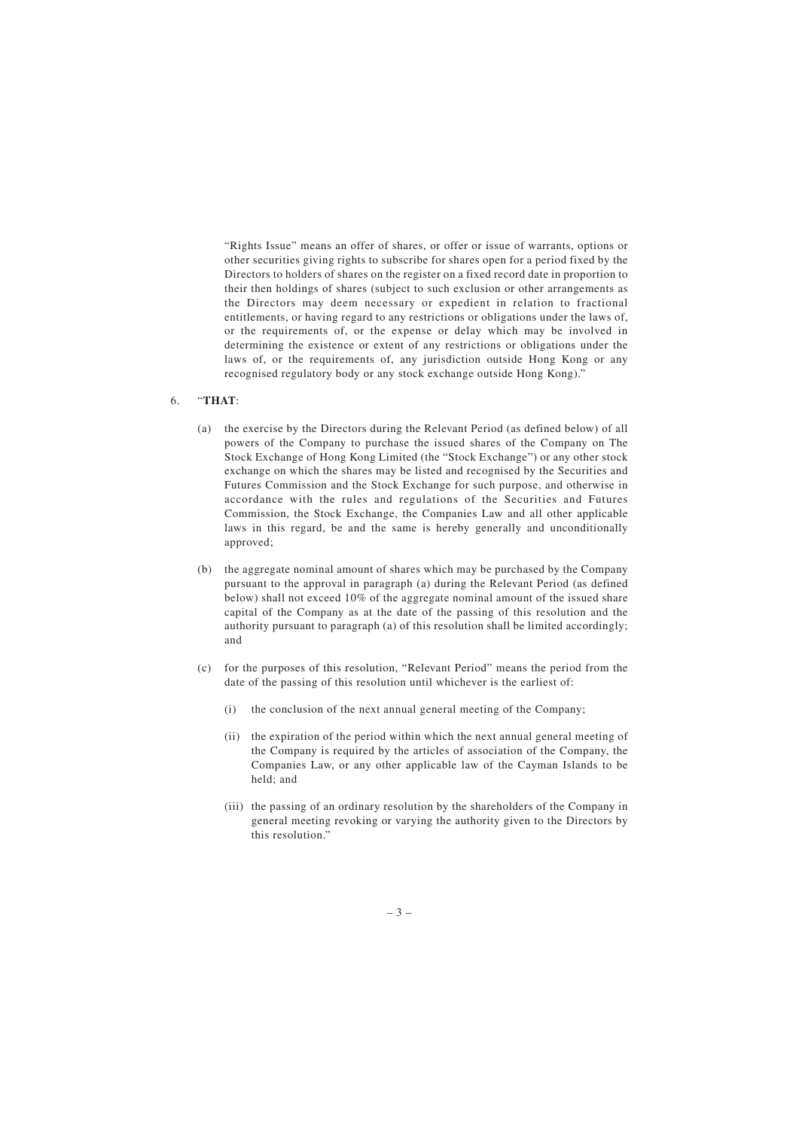"Rights Issue" means an offer of shares, or offer or issue of warrants, options or other securities giving rights to subscribe for shares open for a period fixed by the Directors to holders of shares on the register on a fixed record date in proportion to their then holdings of shares (subject to such exclusion or other arrangements as the Directors may deem necessary or expedient in relation to fractional entitlements, or having regard to any restrictions or obligations under the laws of, or the requirements of, or the expense or delay which may be involved in determining the existence or extent of any restrictions or obligations under the laws of, or the requirements of, any jurisdiction outside Hong Kong or any recognised regulatory body or any stock exchange outside Hong Kong)."

## 6. "**THAT**:

- (a) the exercise by the Directors during the Relevant Period (as defined below) of all powers of the Company to purchase the issued shares of the Company on The Stock Exchange of Hong Kong Limited (the "Stock Exchange") or any other stock exchange on which the shares may be listed and recognised by the Securities and Futures Commission and the Stock Exchange for such purpose, and otherwise in accordance with the rules and regulations of the Securities and Futures Commission, the Stock Exchange, the Companies Law and all other applicable laws in this regard, be and the same is hereby generally and unconditionally approved;
- (b) the aggregate nominal amount of shares which may be purchased by the Company pursuant to the approval in paragraph (a) during the Relevant Period (as defined below) shall not exceed 10% of the aggregate nominal amount of the issued share capital of the Company as at the date of the passing of this resolution and the authority pursuant to paragraph (a) of this resolution shall be limited accordingly; and
- (c) for the purposes of this resolution, "Relevant Period" means the period from the date of the passing of this resolution until whichever is the earliest of:
	- (i) the conclusion of the next annual general meeting of the Company;
	- (ii) the expiration of the period within which the next annual general meeting of the Company is required by the articles of association of the Company, the Companies Law, or any other applicable law of the Cayman Islands to be held; and
	- (iii) the passing of an ordinary resolution by the shareholders of the Company in general meeting revoking or varying the authority given to the Directors by this resolution."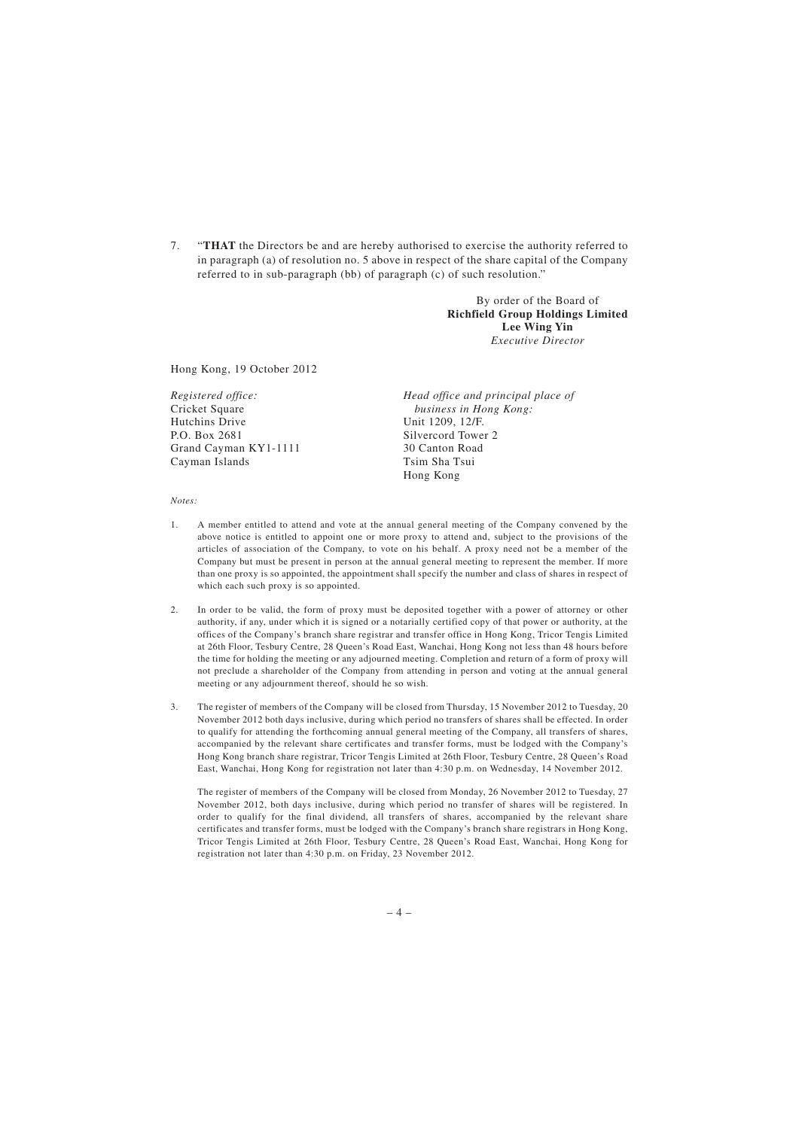7. "**THAT** the Directors be and are hereby authorised to exercise the authority referred to in paragraph (a) of resolution no. 5 above in respect of the share capital of the Company referred to in sub-paragraph (bb) of paragraph (c) of such resolution."

> By order of the Board of **Richfield Group Holdings Limited Lee Wing Yin** *Executive Director*

Hong Kong, 19 October 2012

*Registered office:* Cricket Square Hutchins Drive P.O. Box 2681 Grand Cayman KY1-1111 Cayman Islands

*Head office and principal place of business in Hong Kong:* Unit 1209, 12/F. Silvercord Tower 2 30 Canton Road Tsim Sha Tsui Hong Kong

#### *Notes:*

- 1. A member entitled to attend and vote at the annual general meeting of the Company convened by the above notice is entitled to appoint one or more proxy to attend and, subject to the provisions of the articles of association of the Company, to vote on his behalf. A proxy need not be a member of the Company but must be present in person at the annual general meeting to represent the member. If more than one proxy is so appointed, the appointment shall specify the number and class of shares in respect of which each such proxy is so appointed.
- 2. In order to be valid, the form of proxy must be deposited together with a power of attorney or other authority, if any, under which it is signed or a notarially certified copy of that power or authority, at the offices of the Company's branch share registrar and transfer office in Hong Kong, Tricor Tengis Limited at 26th Floor, Tesbury Centre, 28 Queen's Road East, Wanchai, Hong Kong not less than 48 hours before the time for holding the meeting or any adjourned meeting. Completion and return of a form of proxy will not preclude a shareholder of the Company from attending in person and voting at the annual general meeting or any adjournment thereof, should he so wish.
- 3. The register of members of the Company will be closed from Thursday, 15 November 2012 to Tuesday, 20 November 2012 both days inclusive, during which period no transfers of shares shall be effected. In order to qualify for attending the forthcoming annual general meeting of the Company, all transfers of shares, accompanied by the relevant share certificates and transfer forms, must be lodged with the Company's Hong Kong branch share registrar, Tricor Tengis Limited at 26th Floor, Tesbury Centre, 28 Queen's Road East, Wanchai, Hong Kong for registration not later than 4:30 p.m. on Wednesday, 14 November 2012.

The register of members of the Company will be closed from Monday, 26 November 2012 to Tuesday, 27 November 2012, both days inclusive, during which period no transfer of shares will be registered. In order to qualify for the final dividend, all transfers of shares, accompanied by the relevant share certificates and transfer forms, must be lodged with the Company's branch share registrars in Hong Kong, Tricor Tengis Limited at 26th Floor, Tesbury Centre, 28 Queen's Road East, Wanchai, Hong Kong for registration not later than 4:30 p.m. on Friday, 23 November 2012.